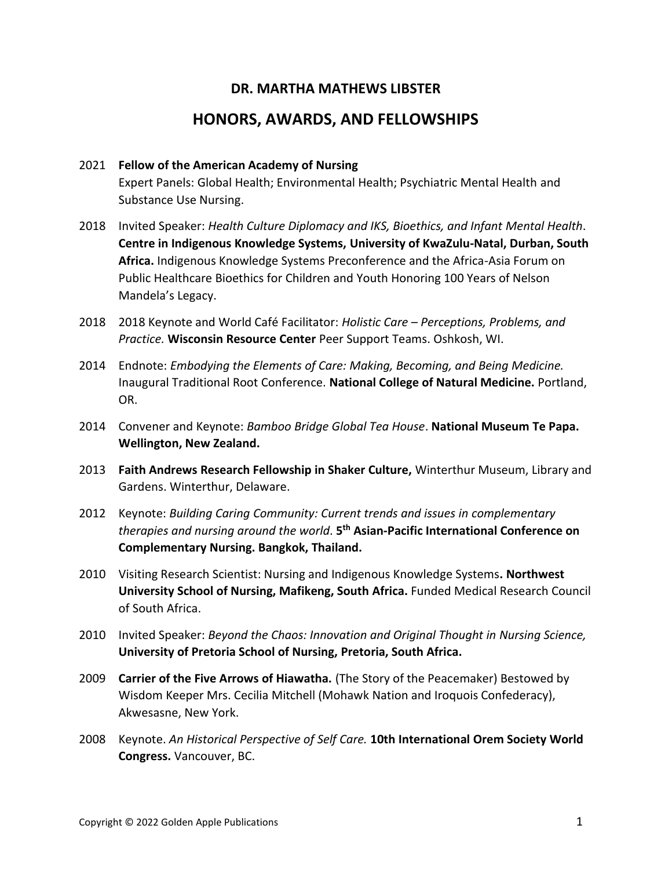## **DR. MARTHA MATHEWS LIBSTER**

## **HONORS, AWARDS, AND FELLOWSHIPS**

## 2021 **Fellow of the American Academy of Nursing**

Expert Panels: Global Health; Environmental Health; Psychiatric Mental Health and Substance Use Nursing.

- 2018 Invited Speaker: *Health Culture Diplomacy and IKS, Bioethics, and Infant Mental Health*. **Centre in Indigenous Knowledge Systems, University of KwaZulu-Natal, Durban, South Africa.** Indigenous Knowledge Systems Preconference and the Africa-Asia Forum on Public Healthcare Bioethics for Children and Youth Honoring 100 Years of Nelson Mandela's Legacy.
- 2018 2018 Keynote and World Café Facilitator: *Holistic Care – Perceptions, Problems, and Practice.* **Wisconsin Resource Center** Peer Support Teams. Oshkosh, WI.
- 2014 Endnote: *Embodying the Elements of Care: Making, Becoming, and Being Medicine.* Inaugural Traditional Root Conference. **National College of Natural Medicine.** Portland, OR.
- 2014 Convener and Keynote: *Bamboo Bridge Global Tea House*. **National Museum Te Papa. Wellington, New Zealand.**
- 2013 **Faith Andrews Research Fellowship in Shaker Culture,** Winterthur Museum, Library and Gardens. Winterthur, Delaware.
- 2012 Keynote: *Building Caring Community: Current trends and issues in complementary therapies and nursing around the world*. **5 th Asian-Pacific International Conference on Complementary Nursing. Bangkok, Thailand.**
- 2010 Visiting Research Scientist: Nursing and Indigenous Knowledge Systems**. Northwest University School of Nursing, Mafikeng, South Africa.** Funded Medical Research Council of South Africa.
- 2010 Invited Speaker: *Beyond the Chaos: Innovation and Original Thought in Nursing Science,* **University of Pretoria School of Nursing, Pretoria, South Africa.**
- 2009 **Carrier of the Five Arrows of Hiawatha.** (The Story of the Peacemaker) Bestowed by Wisdom Keeper Mrs. Cecilia Mitchell (Mohawk Nation and Iroquois Confederacy), Akwesasne, New York.
- 2008 Keynote. *An Historical Perspective of Self Care.* **10th International Orem Society World Congress.** Vancouver, BC.